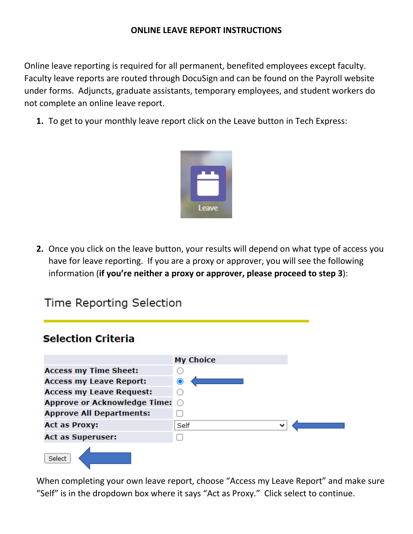### **ONLINE LEAVE REPORT INSTRUCTIONS**

Online leave reporting is required for all permanent, benefited employees except faculty. Faculty leave reports are routed through DocuSign and can be found on the Payroll website under forms. Adjuncts, graduate assistants, temporary employees, and student workers do not complete an online leave report.

**1.** To get to your monthly leave report click on the Leave button in Tech Express:



**2.** Once you click on the leave button, your results will depend on what type of access you have for leave reporting. If you are a proxy or approver, you will see the following information (**if you're neither a proxy or approver, please proceed to step 3**):

# **Time Reporting Selection**

# **Selection Criteria**



When completing your own leave report, choose "Access my Leave Report" and make sure "Self" is in the dropdown box where it says "Act as Proxy." Click select to continue.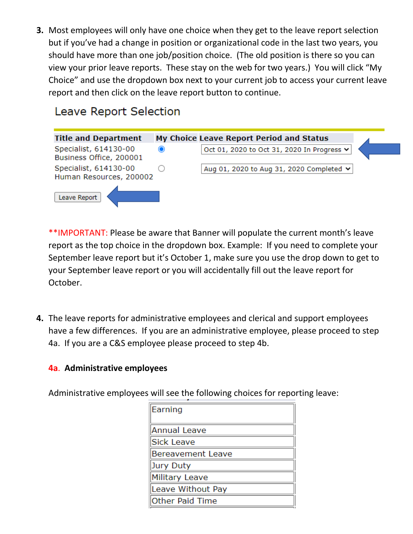**3.** Most employees will only have one choice when they get to the leave report selection but if you've had a change in position or organizational code in the last two years, you should have more than one job/position choice. (The old position is there so you can view your prior leave reports. These stay on the web for two years.) You will click "My Choice" and use the dropdown box next to your current job to access your current leave report and then click on the leave report button to continue.

# Leave Report Selection



\*\*IMPORTANT: Please be aware that Banner will populate the current month's leave report as the top choice in the dropdown box. Example: If you need to complete your September leave report but it's October 1, make sure you use the drop down to get to your September leave report or you will accidentally fill out the leave report for October.

**4.** The leave reports for administrative employees and clerical and support employees have a few differences. If you are an administrative employee, please proceed to step 4a. If you are a C&S employee please proceed to step 4b.

# **4a**. **Administrative employees**

Administrative employees will see the following choices for reporting leave:

| Earning           |
|-------------------|
| Annual Leave      |
| Sick Leave        |
| Bereavement Leave |
| Jury Duty         |
| Military Leave    |
| Leave Without Pay |
| Other Paid Time   |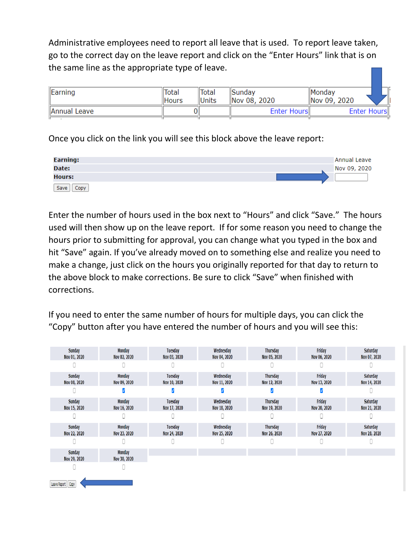Administrative employees need to report all leave that is used. To report leave taken, go to the correct day on the leave report and click on the "Enter Hours" link that is on the same line as the appropriate type of leave.

| Earning      | Total<br><b>Hours</b> | <b>Total</b><br>Units | <b>Sunday</b><br>Nov 08, 2020 | Monday<br>Nov 09, 2020 |  |
|--------------|-----------------------|-----------------------|-------------------------------|------------------------|--|
| Annual Leave |                       |                       | Enter Hours                   | Enter Hours            |  |

Once you click on the link you will see this block above the leave report:



Enter the number of hours used in the box next to "Hours" and click "Save." The hours used will then show up on the leave report. If for some reason you need to change the hours prior to submitting for approval, you can change what you typed in the box and hit "Save" again. If you've already moved on to something else and realize you need to make a change, just click on the hours you originally reported for that day to return to the above block to make corrections. Be sure to click "Save" when finished with corrections.

If you need to enter the same number of hours for multiple days, you can click the "Copy" button after you have entered the number of hours and you will see this:

| Sunday<br>Nov 01, 2020 | Monday<br>Nov 02, 2020 | Tuesday<br>Nov 03, 2020 | Wednesday<br>Nov 04, 2020 | Thursday<br>Nov 05, 2020 | Friday<br>Nov 06, 2020 | Saturday<br>Nov 07, 2020 |
|------------------------|------------------------|-------------------------|---------------------------|--------------------------|------------------------|--------------------------|
|                        |                        |                         |                           |                          |                        |                          |
| Sunday<br>Nov 08, 2020 | Monday<br>Nov 09, 2020 | Tuesday<br>Nov 10, 2020 | Wednesday<br>Nov 11, 2020 | Thursday<br>Nov 12, 2020 | Friday<br>Nov 13, 2020 | Saturday<br>Nov 14, 2020 |
|                        |                        |                         |                           |                          |                        |                          |
| Sunday<br>Nov 15, 2020 | Monday<br>Nov 16, 2020 | Tuesday<br>Nov 17, 2020 | Wednesday<br>Nov 18, 2020 | Thursday<br>Nov 19, 2020 | Friday<br>Nov 20, 2020 | Saturday<br>Nov 21, 2020 |
|                        |                        |                         |                           |                          |                        |                          |
| Sunday<br>Nov 22, 2020 | Monday<br>Nov 23, 2020 | Tuesday<br>Nov 24, 2020 | Wednesday<br>Nov 25, 2020 | Thursday<br>Nov 26, 2020 | Friday<br>Nov 27, 2020 | Saturday<br>Nov 28, 2020 |
|                        |                        |                         |                           |                          |                        |                          |
| Sunday<br>Nov 29, 2020 | Monday<br>Nov 30, 2020 |                         |                           |                          |                        |                          |
|                        |                        |                         |                           |                          |                        |                          |
| Leave Report Copy      |                        |                         |                           |                          |                        |                          |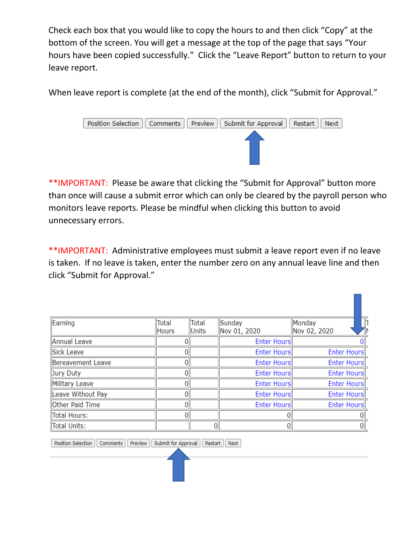Check each box that you would like to copy the hours to and then click "Copy" at the bottom of the screen. You will get a message at the top of the page that says "Your hours have been copied successfully." Click the "Leave Report" button to return to your leave report.

When leave report is complete (at the end of the month), click "Submit for Approval."



\*\*IMPORTANT: Please be aware that clicking the "Submit for Approval" button more than once will cause a submit error which can only be cleared by the payroll person who monitors leave reports. Please be mindful when clicking this button to avoid unnecessary errors.

\*\*IMPORTANT: Administrative employees must submit a leave report even if no leave is taken. If no leave is taken, enter the number zero on any annual leave line and then click "Submit for Approval."

| Earning                | Total<br>Hours | Total<br>Units | Sunday<br>Nov 01, 2020 | Monday<br>Nov 02, 2020 |
|------------------------|----------------|----------------|------------------------|------------------------|
| Annual Leave           | D              |                | <b>Enter Hours</b>     |                        |
| Sick Leave             | 0              |                | Enter Hours            | Enter Hours            |
| Bereavement Leave      | 0              |                | Enter Hours            | Enter Hours            |
| Jury Duty              | 0              |                | <b>Enter Hours</b>     | Enter Hours            |
| Military Leave         | 0              |                | Enter Hours            | Enter Hours            |
| Leave Without Pay      | 0              |                | <b>Enter Hours</b>     | Enter Hours            |
| <b>Other Paid Time</b> | 0              |                | <b>Enter Hours</b>     | Enter Hours            |
| Total Hours:           | $\Omega$       |                | 0                      |                        |
| Total Units:           |                | 0              | $\overline{0}$         | $\boldsymbol{0}$       |

Position Selection | Comments | Preview | Submit for Approval Restart | Next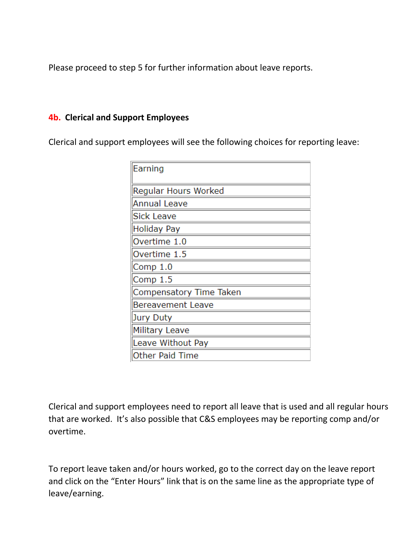Please proceed to step 5 for further information about leave reports.

#### **4b. Clerical and Support Employees**

Clerical and support employees will see the following choices for reporting leave:

| Earning                  |
|--------------------------|
| Regular Hours Worked     |
| <b>Annual Leave</b>      |
| <b>Sick Leave</b>        |
| Holiday Pay              |
| Overtime 1.0             |
| Overtime 1.5             |
| Comp 1.0                 |
| Comp 1.5                 |
| Compensatory Time Taken  |
| <b>Bereavement Leave</b> |
| Jury Duty                |
| <b>Military Leave</b>    |
| Leave Without Pay        |
| <b>Other Paid Time</b>   |

Clerical and support employees need to report all leave that is used and all regular hours that are worked. It's also possible that C&S employees may be reporting comp and/or overtime.

To report leave taken and/or hours worked, go to the correct day on the leave report and click on the "Enter Hours" link that is on the same line as the appropriate type of leave/earning.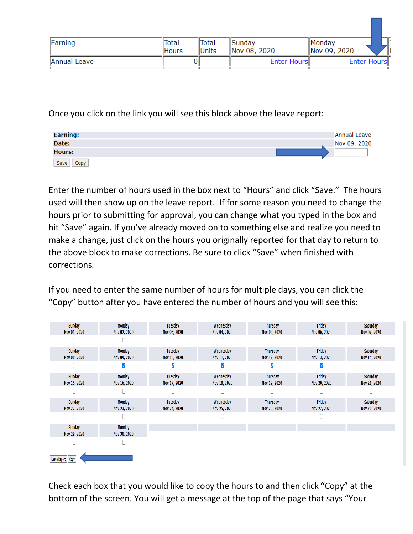| Earning      | <b>Total</b> | Total        | <b>Sunday</b> | <b>Monday</b> |   |
|--------------|--------------|--------------|---------------|---------------|---|
|              | <b>Hours</b> | <b>Units</b> | Nov 08, 2020  | Nov 09, 2020  | Ш |
| Annual Leave |              |              | Enter Hours   | Enter Hours   |   |
|              |              |              |               |               |   |

Once you click on the link you will see this block above the leave report:

| Earning:      | Annual Leave |
|---------------|--------------|
| Date:         | Nov 09, 2020 |
| <b>Hours:</b> |              |
| Save<br>Copy  |              |

Enter the number of hours used in the box next to "Hours" and click "Save." The hours used will then show up on the leave report. If for some reason you need to change the hours prior to submitting for approval, you can change what you typed in the box and hit "Save" again. If you've already moved on to something else and realize you need to make a change, just click on the hours you originally reported for that day to return to the above block to make corrections. Be sure to click "Save" when finished with corrections.

If you need to enter the same number of hours for multiple days, you can click the "Copy" button after you have entered the number of hours and you will see this:

| Sunday<br>Nov 01, 2020 | Monday<br>Nov 02, 2020 | Tuesday<br>Nov 03, 2020 | Wednesday<br>Nov 04, 2020 | Thursday<br>Nov 05, 2020 | Friday<br>Nov 06, 2020 | Saturday<br>Nov 07, 2020 |
|------------------------|------------------------|-------------------------|---------------------------|--------------------------|------------------------|--------------------------|
|                        |                        |                         |                           |                          |                        |                          |
| Sunday<br>Nov 08, 2020 | Monday<br>Nov 09, 2020 | Tuesday<br>Nov 10, 2020 | Wednesday<br>Nov 11, 2020 | Thursday<br>Nov 12, 2020 | Friday<br>Nov 13, 2020 | Saturday<br>Nov 14, 2020 |
|                        |                        |                         |                           |                          |                        |                          |
| Sunday<br>Nov 15, 2020 | Monday<br>Nov 16, 2020 | Tuesday<br>Nov 17, 2020 | Wednesday<br>Nov 18, 2020 | Thursday<br>Nov 19, 2020 | Friday<br>Nov 20, 2020 | Saturday<br>Nov 21, 2020 |
|                        |                        |                         |                           |                          |                        |                          |
| Sunday<br>Nov 22, 2020 | Monday<br>Nov 23, 2020 | Tuesday<br>Nov 24, 2020 | Wednesday<br>Nov 25, 2020 | Thursday<br>Nov 26, 2020 | Friday<br>Nov 27, 2020 | Saturday<br>Nov 28, 2020 |
|                        |                        |                         |                           |                          |                        |                          |
| Sunday<br>Nov 29, 2020 | Monday<br>Nov 30, 2020 |                         |                           |                          |                        |                          |
|                        |                        |                         |                           |                          |                        |                          |
| Leave Report   Copy    |                        |                         |                           |                          |                        |                          |

Check each box that you would like to copy the hours to and then click "Copy" at the bottom of the screen. You will get a message at the top of the page that says "Your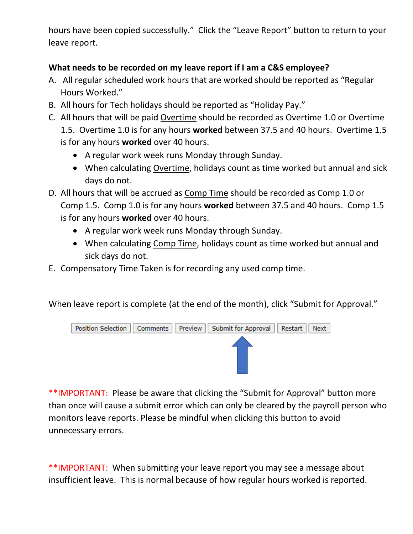hours have been copied successfully." Click the "Leave Report" button to return to your leave report.

## **What needs to be recorded on my leave report if I am a C&S employee?**

- A. All regular scheduled work hours that are worked should be reported as "Regular Hours Worked."
- B. All hours for Tech holidays should be reported as "Holiday Pay."
- C. All hours that will be paid Overtime should be recorded as Overtime 1.0 or Overtime 1.5. Overtime 1.0 is for any hours **worked** between 37.5 and 40 hours. Overtime 1.5 is for any hours **worked** over 40 hours.
	- A regular work week runs Monday through Sunday.
	- When calculating Overtime, holidays count as time worked but annual and sick days do not.
- D. All hours that will be accrued as Comp Time should be recorded as Comp 1.0 or Comp 1.5. Comp 1.0 is for any hours **worked** between 37.5 and 40 hours. Comp 1.5 is for any hours **worked** over 40 hours.
	- A regular work week runs Monday through Sunday.
	- When calculating Comp Time, holidays count as time worked but annual and sick days do not.
- E. Compensatory Time Taken is for recording any used comp time.

When leave report is complete (at the end of the month), click "Submit for Approval."



\*\*IMPORTANT: Please be aware that clicking the "Submit for Approval" button more than once will cause a submit error which can only be cleared by the payroll person who monitors leave reports. Please be mindful when clicking this button to avoid unnecessary errors.

\*\*IMPORTANT: When submitting your leave report you may see a message about insufficient leave. This is normal because of how regular hours worked is reported.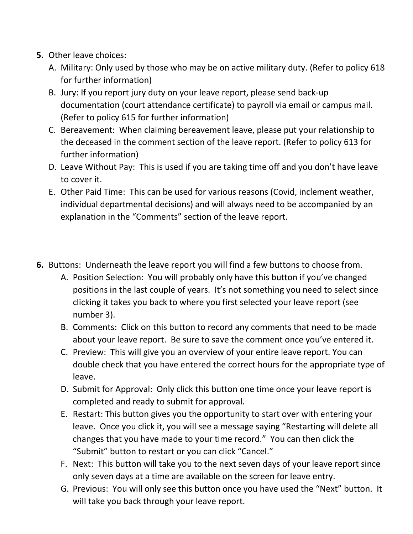- **5.** Other leave choices:
	- A. Military: Only used by those who may be on active military duty. (Refer to policy 618 for further information)
	- B. Jury: If you report jury duty on your leave report, please send back-up documentation (court attendance certificate) to payroll via email or campus mail. (Refer to policy 615 for further information)
	- C. Bereavement: When claiming bereavement leave, please put your relationship to the deceased in the comment section of the leave report. (Refer to policy 613 for further information)
	- D. Leave Without Pay: This is used if you are taking time off and you don't have leave to cover it.
	- E. Other Paid Time: This can be used for various reasons (Covid, inclement weather, individual departmental decisions) and will always need to be accompanied by an explanation in the "Comments" section of the leave report.
- **6.** Buttons: Underneath the leave report you will find a few buttons to choose from.
	- A. Position Selection: You will probably only have this button if you've changed positions in the last couple of years. It's not something you need to select since clicking it takes you back to where you first selected your leave report (see number 3).
	- B. Comments: Click on this button to record any comments that need to be made about your leave report. Be sure to save the comment once you've entered it.
	- C. Preview: This will give you an overview of your entire leave report. You can double check that you have entered the correct hours for the appropriate type of leave.
	- D. Submit for Approval: Only click this button one time once your leave report is completed and ready to submit for approval.
	- E. Restart: This button gives you the opportunity to start over with entering your leave. Once you click it, you will see a message saying "Restarting will delete all changes that you have made to your time record." You can then click the "Submit" button to restart or you can click "Cancel."
	- F. Next: This button will take you to the next seven days of your leave report since only seven days at a time are available on the screen for leave entry.
	- G. Previous: You will only see this button once you have used the "Next" button. It will take you back through your leave report.